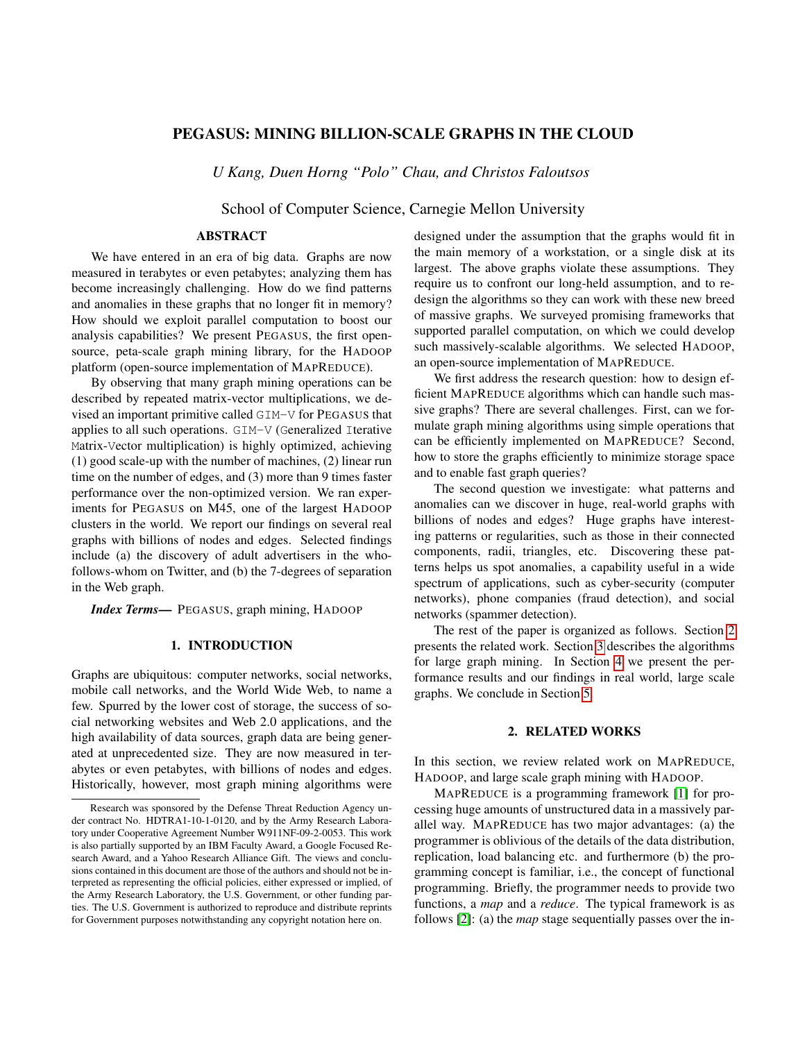# PEGASUS: MINING BILLION-SCALE GRAPHS IN THE CLOUD

*U Kang, Duen Horng "Polo" Chau, and Christos Faloutsos*

School of Computer Science, Carnegie Mellon University

#### ABSTRACT

We have entered in an era of big data. Graphs are now measured in terabytes or even petabytes; analyzing them has become increasingly challenging. How do we find patterns and anomalies in these graphs that no longer fit in memory? How should we exploit parallel computation to boost our analysis capabilities? We present PEGASUS, the first opensource, peta-scale graph mining library, for the HADOOP platform (open-source implementation of MAPREDUCE).

By observing that many graph mining operations can be described by repeated matrix-vector multiplications, we devised an important primitive called GIM-V for PEGASUS that applies to all such operations. GIM-V (Generalized Iterative Matrix-Vector multiplication) is highly optimized, achieving (1) good scale-up with the number of machines, (2) linear run time on the number of edges, and (3) more than 9 times faster performance over the non-optimized version. We ran experiments for PEGASUS on M45, one of the largest HADOOP clusters in the world. We report our findings on several real graphs with billions of nodes and edges. Selected findings include (a) the discovery of adult advertisers in the whofollows-whom on Twitter, and (b) the 7-degrees of separation in the Web graph.

*Index Terms*— PEGASUS, graph mining, HADOOP

#### 1. INTRODUCTION

Graphs are ubiquitous: computer networks, social networks, mobile call networks, and the World Wide Web, to name a few. Spurred by the lower cost of storage, the success of social networking websites and Web 2.0 applications, and the high availability of data sources, graph data are being generated at unprecedented size. They are now measured in terabytes or even petabytes, with billions of nodes and edges. Historically, however, most graph mining algorithms were designed under the assumption that the graphs would fit in the main memory of a workstation, or a single disk at its largest. The above graphs violate these assumptions. They require us to confront our long-held assumption, and to redesign the algorithms so they can work with these new breed of massive graphs. We surveyed promising frameworks that supported parallel computation, on which we could develop such massively-scalable algorithms. We selected HADOOP, an open-source implementation of MAPREDUCE.

We first address the research question: how to design efficient MAPREDUCE algorithms which can handle such massive graphs? There are several challenges. First, can we formulate graph mining algorithms using simple operations that can be efficiently implemented on MAPREDUCE? Second, how to store the graphs efficiently to minimize storage space and to enable fast graph queries?

The second question we investigate: what patterns and anomalies can we discover in huge, real-world graphs with billions of nodes and edges? Huge graphs have interesting patterns or regularities, such as those in their connected components, radii, triangles, etc. Discovering these patterns helps us spot anomalies, a capability useful in a wide spectrum of applications, such as cyber-security (computer networks), phone companies (fraud detection), and social networks (spammer detection).

The rest of the paper is organized as follows. Section [2](#page-0-0) presents the related work. Section [3](#page-1-0) describes the algorithms for large graph mining. In Section [4](#page-1-1) we present the performance results and our findings in real world, large scale graphs. We conclude in Section [5.](#page-2-0)

#### 2. RELATED WORKS

<span id="page-0-0"></span>In this section, we review related work on MAPREDUCE, HADOOP, and large scale graph mining with HADOOP.

MAPREDUCE is a programming framework [\[1\]](#page-3-0) for processing huge amounts of unstructured data in a massively parallel way. MAPREDUCE has two major advantages: (a) the programmer is oblivious of the details of the data distribution, replication, load balancing etc. and furthermore (b) the programming concept is familiar, i.e., the concept of functional programming. Briefly, the programmer needs to provide two functions, a *map* and a *reduce*. The typical framework is as follows [\[2\]](#page-3-1): (a) the *map* stage sequentially passes over the in-

Research was sponsored by the Defense Threat Reduction Agency under contract No. HDTRA1-10-1-0120, and by the Army Research Laboratory under Cooperative Agreement Number W911NF-09-2-0053. This work is also partially supported by an IBM Faculty Award, a Google Focused Research Award, and a Yahoo Research Alliance Gift. The views and conclusions contained in this document are those of the authors and should not be interpreted as representing the official policies, either expressed or implied, of the Army Research Laboratory, the U.S. Government, or other funding parties. The U.S. Government is authorized to reproduce and distribute reprints for Government purposes notwithstanding any copyright notation here on.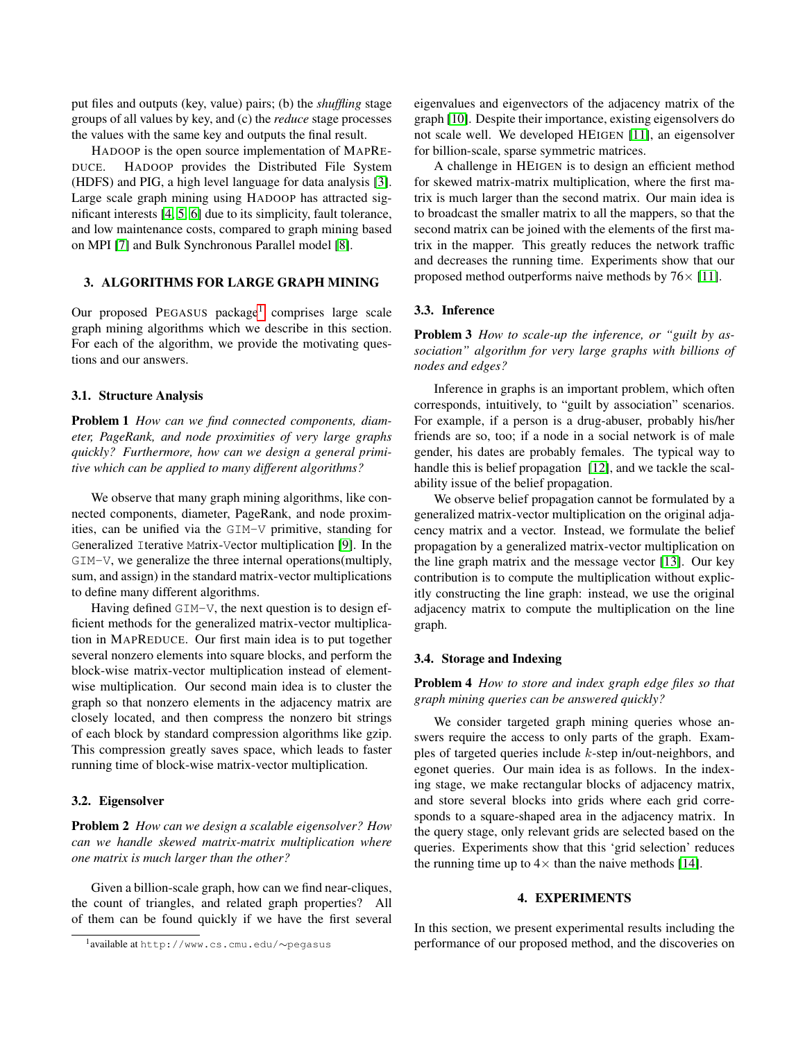put files and outputs (key, value) pairs; (b) the *shuffling* stage groups of all values by key, and (c) the *reduce* stage processes the values with the same key and outputs the final result.

HADOOP is the open source implementation of MAPRE-DUCE. HADOOP provides the Distributed File System (HDFS) and PIG, a high level language for data analysis [\[3\]](#page-3-2). Large scale graph mining using HADOOP has attracted significant interests [\[4,](#page-3-3) [5,](#page-3-4) [6\]](#page-3-5) due to its simplicity, fault tolerance, and low maintenance costs, compared to graph mining based on MPI [\[7\]](#page-3-6) and Bulk Synchronous Parallel model [\[8\]](#page-3-7).

# <span id="page-1-0"></span>3. ALGORITHMS FOR LARGE GRAPH MINING

Our proposed PEGASUS package<sup>[1](#page-1-2)</sup> comprises large scale graph mining algorithms which we describe in this section. For each of the algorithm, we provide the motivating questions and our answers.

### 3.1. Structure Analysis

Problem 1 *How can we find connected components, diameter, PageRank, and node proximities of very large graphs quickly? Furthermore, how can we design a general primitive which can be applied to many different algorithms?*

We observe that many graph mining algorithms, like connected components, diameter, PageRank, and node proximities, can be unified via the GIM-V primitive, standing for Generalized Iterative Matrix-Vector multiplication [\[9\]](#page-3-8). In the GIM-V, we generalize the three internal operations(multiply, sum, and assign) in the standard matrix-vector multiplications to define many different algorithms.

Having defined GIM-V, the next question is to design efficient methods for the generalized matrix-vector multiplication in MAPREDUCE. Our first main idea is to put together several nonzero elements into square blocks, and perform the block-wise matrix-vector multiplication instead of elementwise multiplication. Our second main idea is to cluster the graph so that nonzero elements in the adjacency matrix are closely located, and then compress the nonzero bit strings of each block by standard compression algorithms like gzip. This compression greatly saves space, which leads to faster running time of block-wise matrix-vector multiplication.

## 3.2. Eigensolver

Problem 2 *How can we design a scalable eigensolver? How can we handle skewed matrix-matrix multiplication where one matrix is much larger than the other?*

Given a billion-scale graph, how can we find near-cliques, the count of triangles, and related graph properties? All of them can be found quickly if we have the first several

eigenvalues and eigenvectors of the adjacency matrix of the graph [\[10\]](#page-3-9). Despite their importance, existing eigensolvers do not scale well. We developed HEIGEN [\[11\]](#page-3-10), an eigensolver for billion-scale, sparse symmetric matrices.

A challenge in HEIGEN is to design an efficient method for skewed matrix-matrix multiplication, where the first matrix is much larger than the second matrix. Our main idea is to broadcast the smaller matrix to all the mappers, so that the second matrix can be joined with the elements of the first matrix in the mapper. This greatly reduces the network traffic and decreases the running time. Experiments show that our proposed method outperforms naive methods by  $76 \times [11]$  $76 \times [11]$ .

## 3.3. Inference

Problem 3 *How to scale-up the inference, or "guilt by association" algorithm for very large graphs with billions of nodes and edges?*

Inference in graphs is an important problem, which often corresponds, intuitively, to "guilt by association" scenarios. For example, if a person is a drug-abuser, probably his/her friends are so, too; if a node in a social network is of male gender, his dates are probably females. The typical way to handle this is belief propagation [\[12\]](#page-3-11), and we tackle the scalability issue of the belief propagation.

We observe belief propagation cannot be formulated by a generalized matrix-vector multiplication on the original adjacency matrix and a vector. Instead, we formulate the belief propagation by a generalized matrix-vector multiplication on the line graph matrix and the message vector [\[13\]](#page-3-12). Our key contribution is to compute the multiplication without explicitly constructing the line graph: instead, we use the original adjacency matrix to compute the multiplication on the line graph.

## 3.4. Storage and Indexing

Problem 4 *How to store and index graph edge files so that graph mining queries can be answered quickly?*

We consider targeted graph mining queries whose answers require the access to only parts of the graph. Examples of targeted queries include k-step in/out-neighbors, and egonet queries. Our main idea is as follows. In the indexing stage, we make rectangular blocks of adjacency matrix, and store several blocks into grids where each grid corresponds to a square-shaped area in the adjacency matrix. In the query stage, only relevant grids are selected based on the queries. Experiments show that this 'grid selection' reduces the running time up to  $4 \times$  than the naive methods [\[14\]](#page-3-13).

#### 4. EXPERIMENTS

<span id="page-1-1"></span>In this section, we present experimental results including the performance of our proposed method, and the discoveries on

<span id="page-1-2"></span><sup>1</sup> available at http://www.cs.cmu.edu/∼pegasus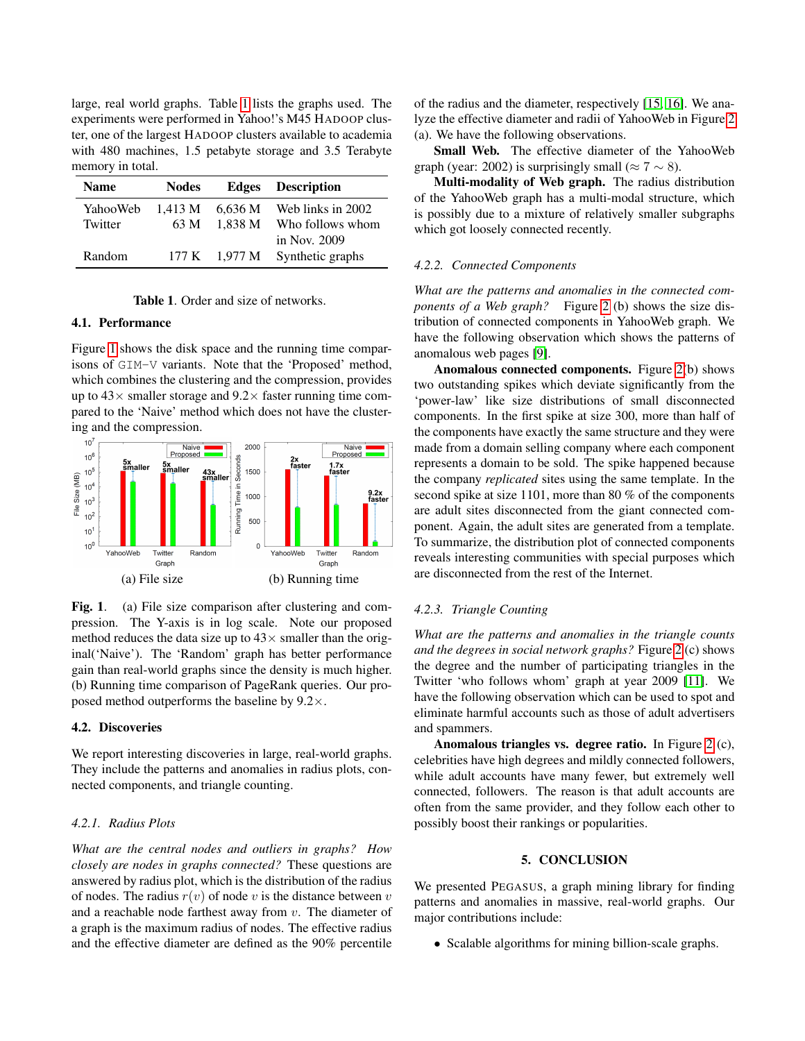large, real world graphs. Table [1](#page-2-1) lists the graphs used. The experiments were performed in Yahoo!'s M45 HADOOP cluster, one of the largest HADOOP clusters available to academia with 480 machines, 1.5 petabyte storage and 3.5 Terabyte memory in total.

| <b>Name</b> | <b>Nodes</b> | Edges   | <b>Description</b> |
|-------------|--------------|---------|--------------------|
| YahooWeb    | 1.413 M      | 6.636 M | Web links in 2002  |
| Twitter     | 63 M         | 1.838 M | Who follows whom   |
|             |              |         | in Nov. 2009       |
| Random      | 177 K        | 1.977 M | Synthetic graphs   |

<span id="page-2-1"></span>Table 1. Order and size of networks.

# 4.1. Performance

Figure [1](#page-2-2) shows the disk space and the running time comparisons of GIM-V variants. Note that the 'Proposed' method, which combines the clustering and the compression, provides up to  $43\times$  smaller storage and  $9.2\times$  faster running time compared to the 'Naive' method which does not have the clustering and the compression.



<span id="page-2-2"></span>Fig. 1. (a) File size comparison after clustering and compression. The Y-axis is in log scale. Note our proposed method reduces the data size up to  $43\times$  smaller than the original('Naive'). The 'Random' graph has better performance gain than real-world graphs since the density is much higher. (b) Running time comparison of PageRank queries. Our proposed method outperforms the baseline by  $9.2 \times$ .

#### 4.2. Discoveries

We report interesting discoveries in large, real-world graphs. They include the patterns and anomalies in radius plots, connected components, and triangle counting.

#### *4.2.1. Radius Plots*

*What are the central nodes and outliers in graphs? How closely are nodes in graphs connected?* These questions are answered by radius plot, which is the distribution of the radius of nodes. The radius  $r(v)$  of node v is the distance between v and a reachable node farthest away from  $v$ . The diameter of a graph is the maximum radius of nodes. The effective radius and the effective diameter are defined as the 90% percentile of the radius and the diameter, respectively [\[15,](#page-3-14) [16\]](#page-3-15). We analyze the effective diameter and radii of YahooWeb in Figure [2](#page-3-16) (a). We have the following observations.

Small Web. The effective diameter of the YahooWeb graph (year: 2002) is surprisingly small ( $\approx 7 \sim 8$ ).

Multi-modality of Web graph. The radius distribution of the YahooWeb graph has a multi-modal structure, which is possibly due to a mixture of relatively smaller subgraphs which got loosely connected recently.

#### *4.2.2. Connected Components*

*What are the patterns and anomalies in the connected components of a Web graph?* Figure [2](#page-3-16) (b) shows the size distribution of connected components in YahooWeb graph. We have the following observation which shows the patterns of anomalous web pages [\[9\]](#page-3-8).

Anomalous connected components. Figure [2\(](#page-3-16)b) shows two outstanding spikes which deviate significantly from the 'power-law' like size distributions of small disconnected components. In the first spike at size 300, more than half of the components have exactly the same structure and they were made from a domain selling company where each component represents a domain to be sold. The spike happened because the company *replicated* sites using the same template. In the second spike at size 1101, more than 80 % of the components are adult sites disconnected from the giant connected component. Again, the adult sites are generated from a template. To summarize, the distribution plot of connected components reveals interesting communities with special purposes which are disconnected from the rest of the Internet.

#### *4.2.3. Triangle Counting*

*What are the patterns and anomalies in the triangle counts and the degrees in social network graphs?* Figure [2](#page-3-16) (c) shows the degree and the number of participating triangles in the Twitter 'who follows whom' graph at year 2009 [\[11\]](#page-3-10). We have the following observation which can be used to spot and eliminate harmful accounts such as those of adult advertisers and spammers.

Anomalous triangles vs. degree ratio. In Figure [2](#page-3-16) (c), celebrities have high degrees and mildly connected followers, while adult accounts have many fewer, but extremely well connected, followers. The reason is that adult accounts are often from the same provider, and they follow each other to possibly boost their rankings or popularities.

# 5. CONCLUSION

<span id="page-2-0"></span>We presented PEGASUS, a graph mining library for finding patterns and anomalies in massive, real-world graphs. Our major contributions include:

• Scalable algorithms for mining billion-scale graphs.